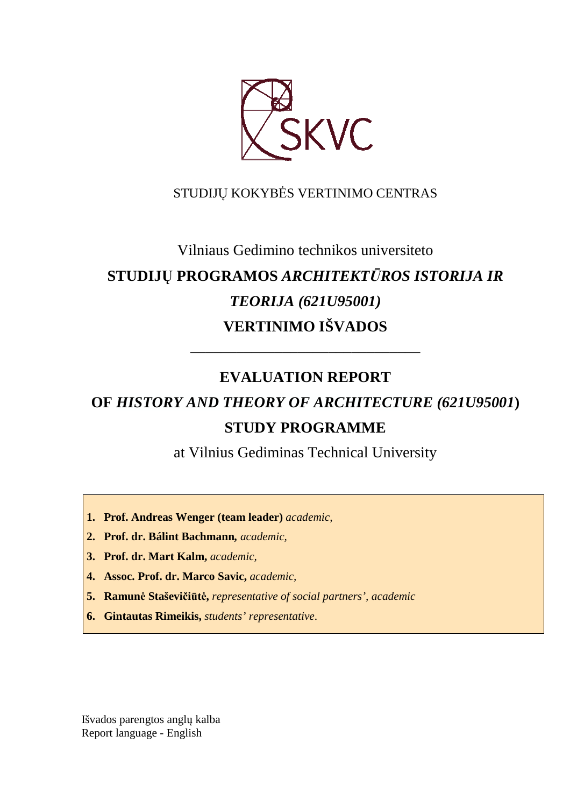

## STUDIJŲ KOKYBĖS VERTINIMO CENTRAS

# Vilniaus Gedimino technikos universiteto **STUDIJŲ PROGRAMOS** *ARCHITEKTŪROS ISTORIJA IR TEORIJA (621U95001)* **VERTINIMO IŠVADOS**

## **EVALUATION REPORT**

––––––––––––––––––––––––––––––

# **OF** *HISTORY AND THEORY OF ARCHITECTURE (621U95001***) STUDY PROGRAMME**

at Vilnius Gediminas Technical University

- **1. Prof. Andreas Wenger (team leader)** *academic,*
- **2. Prof. dr. Bálint Bachmann***, academic,*
- **3. Prof. dr. Mart Kalm,** *academic,*
- **4. Assoc. Prof. dr. Marco Savic,** *academic,*
- **5. Ramunė Staševičiūtė,** *representative of social partners', academic*
- **6. Gintautas Rimeikis,** *students' representative*.

Išvados parengtos anglų kalba Report language - English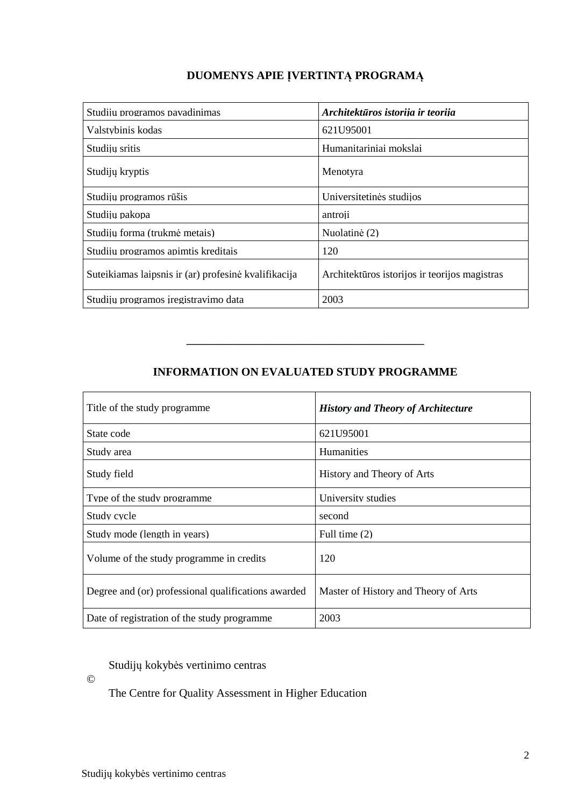## **DUOMENYS APIE ĮVERTINTĄ PROGRAMĄ**

| Studijų programos pavadinimas                        | Architektūros istorija ir teorija             |
|------------------------------------------------------|-----------------------------------------------|
| Valstybinis kodas                                    | 621U95001                                     |
| Studiju sritis                                       | Humanitariniai mokslai                        |
| Studijų kryptis                                      | Menotyra                                      |
| Studijų programos rūšis                              | Universitetinės studijos                      |
| Studiju pakopa                                       | antroji                                       |
| Studiju forma (trukmė metais)                        | Nuolatinė (2)                                 |
| Studiju programos apimtis kreditais                  | 120                                           |
| Suteikiamas laipsnis ir (ar) profesinė kvalifikacija | Architektūros istorijos ir teorijos magistras |
| Studijų programos iregistravimo data                 | 2003                                          |

## **INFORMATION ON EVALUATED STUDY PROGRAMME**

–––––––––––––––––––––––––––––––

| Title of the study programme                        | <b>History and Theory of Architecture</b> |  |
|-----------------------------------------------------|-------------------------------------------|--|
| State code                                          | 621U95001                                 |  |
| Study area                                          | <b>Humanities</b>                         |  |
| Study field                                         | History and Theory of Arts                |  |
| Type of the study programme                         | University studies                        |  |
| Study cycle                                         | second                                    |  |
| Study mode (length in years)                        | Full time $(2)$                           |  |
| Volume of the study programme in credits            | 120                                       |  |
| Degree and (or) professional qualifications awarded | Master of History and Theory of Arts      |  |
| Date of registration of the study programme         | 2003                                      |  |

### Studijų kokybės vertinimo centras

©

The Centre for Quality Assessment in Higher Education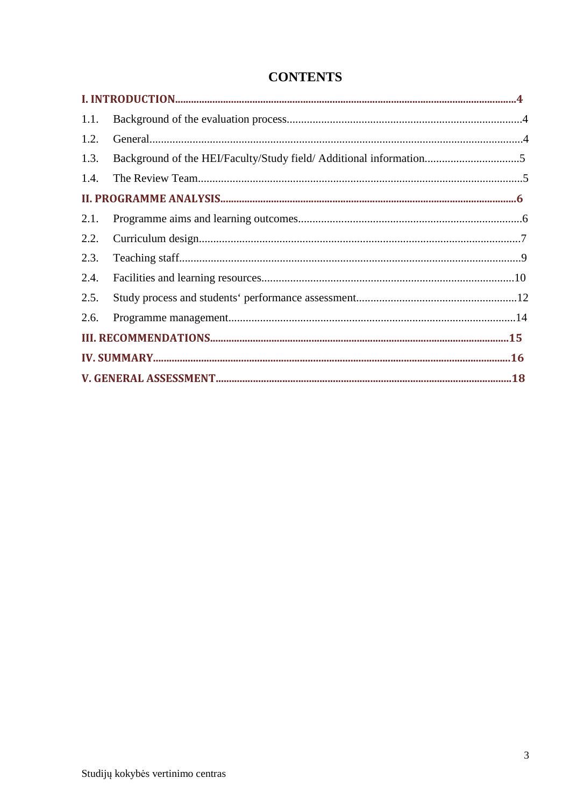## **CONTENTS**

| 1.1. |                                                                    |  |
|------|--------------------------------------------------------------------|--|
| 1.2. |                                                                    |  |
| 1.3. | Background of the HEI/Faculty/Study field/ Additional information5 |  |
| 1.4. |                                                                    |  |
|      |                                                                    |  |
| 2.1. |                                                                    |  |
| 2.2. |                                                                    |  |
| 2.3. |                                                                    |  |
| 2.4. |                                                                    |  |
| 2.5. |                                                                    |  |
| 2.6. |                                                                    |  |
|      |                                                                    |  |
|      |                                                                    |  |
|      |                                                                    |  |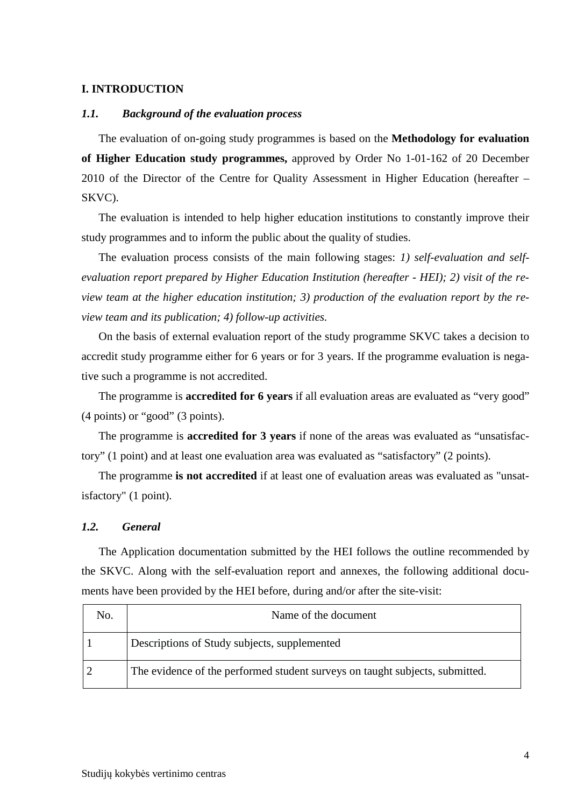#### **I. INTRODUCTION**

#### *1.1. Background of the evaluation process*

The evaluation of on-going study programmes is based on the **Methodology for evaluation of Higher Education study programmes,** approved by Order No 1-01-162 of 20 December 2010 of the Director of the Centre for Quality Assessment in Higher Education (hereafter – SKVC).

The evaluation is intended to help higher education institutions to constantly improve their study programmes and to inform the public about the quality of studies.

The evaluation process consists of the main following stages: *1) self-evaluation and selfevaluation report prepared by Higher Education Institution (hereafter - HEI); 2) visit of the review team at the higher education institution; 3) production of the evaluation report by the review team and its publication; 4) follow-up activities.* 

On the basis of external evaluation report of the study programme SKVC takes a decision to accredit study programme either for 6 years or for 3 years. If the programme evaluation is negative such a programme is not accredited.

The programme is **accredited for 6 years** if all evaluation areas are evaluated as "very good" (4 points) or "good" (3 points).

The programme is **accredited for 3 years** if none of the areas was evaluated as "unsatisfactory" (1 point) and at least one evaluation area was evaluated as "satisfactory" (2 points).

The programme **is not accredited** if at least one of evaluation areas was evaluated as "unsatisfactory" (1 point).

#### *1.2. General*

The Application documentation submitted by the HEI follows the outline recommended by the SKVC. Along with the self-evaluation report and annexes, the following additional documents have been provided by the HEI before, during and/or after the site-visit:

| No. | Name of the document                                                         |
|-----|------------------------------------------------------------------------------|
|     | Descriptions of Study subjects, supplemented                                 |
|     | The evidence of the performed student surveys on taught subjects, submitted. |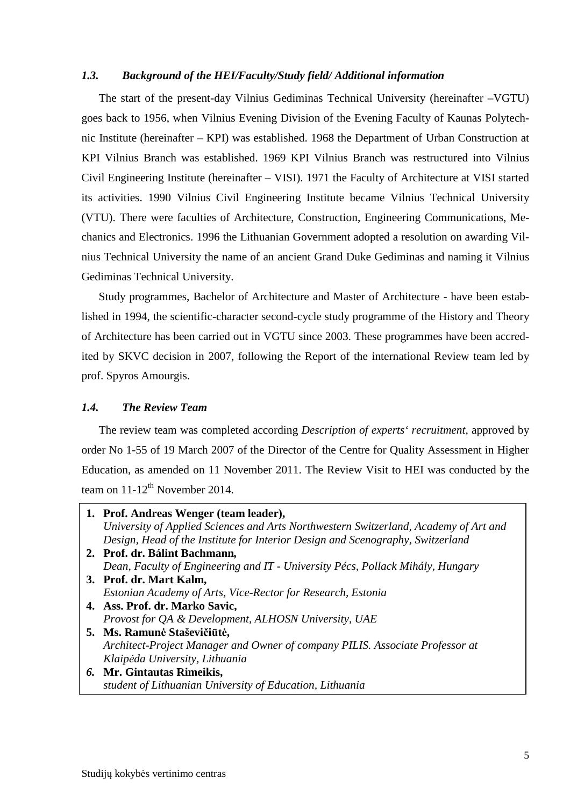#### *1.3. Background of the HEI/Faculty/Study field/ Additional information*

The start of the present-day Vilnius Gediminas Technical University (hereinafter –VGTU) goes back to 1956, when Vilnius Evening Division of the Evening Faculty of Kaunas Polytechnic Institute (hereinafter – KPI) was established. 1968 the Department of Urban Construction at KPI Vilnius Branch was established. 1969 KPI Vilnius Branch was restructured into Vilnius Civil Engineering Institute (hereinafter – VISI). 1971 the Faculty of Architecture at VISI started its activities. 1990 Vilnius Civil Engineering Institute became Vilnius Technical University (VTU). There were faculties of Architecture, Construction, Engineering Communications, Mechanics and Electronics. 1996 the Lithuanian Government adopted a resolution on awarding Vilnius Technical University the name of an ancient Grand Duke Gediminas and naming it Vilnius Gediminas Technical University.

Study programmes, Bachelor of Architecture and Master of Architecture - have been established in 1994, the scientific-character second-cycle study programme of the History and Theory of Architecture has been carried out in VGTU since 2003. These programmes have been accredited by SKVC decision in 2007, following the Report of the international Review team led by prof. Spyros Amourgis.

#### *1.4. The Review Team*

The review team was completed according *Description of experts' recruitment*, approved by order No 1-55 of 19 March 2007 of the Director of the Centre for Quality Assessment in Higher Education, as amended on 11 November 2011. The Review Visit to HEI was conducted by the team on  $11-12^{th}$  November 2014.

| 1. Prof. Andreas Wenger (team leader),                                               |
|--------------------------------------------------------------------------------------|
| University of Applied Sciences and Arts Northwestern Switzerland, Academy of Art and |
| Design, Head of the Institute for Interior Design and Scenography, Switzerland       |
| 2. Prof. dr. Bálint Bachmann,                                                        |
| Dean, Faculty of Engineering and IT - University Pécs, Pollack Mihály, Hungary       |
| 3. Prof. dr. Mart Kalm,                                                              |
| Estonian Academy of Arts, Vice-Rector for Research, Estonia                          |
| 4. Ass. Prof. dr. Marko Savic,                                                       |
| Provost for QA & Development, ALHOSN University, UAE                                 |
| 5. Ms. Ramunė Staševičiūtė,                                                          |
| Architect-Project Manager and Owner of company PILIS. Associate Professor at         |
| Klaipėda University, Lithuania                                                       |
| 6. Mr. Gintautas Rimeikis,                                                           |
| student of Lithuanian University of Education, Lithuania                             |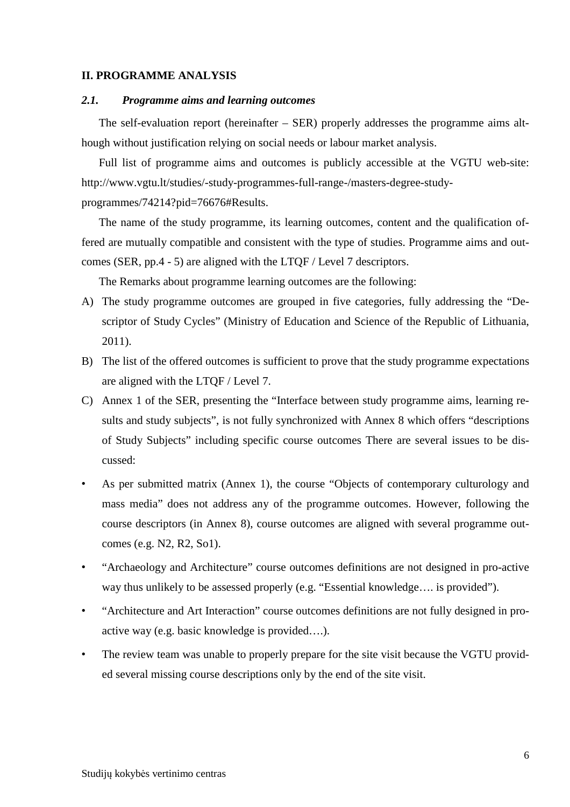#### **II. PROGRAMME ANALYSIS**

#### *2.1. Programme aims and learning outcomes*

The self-evaluation report (hereinafter – SER) properly addresses the programme aims although without justification relying on social needs or labour market analysis.

Full list of programme aims and outcomes is publicly accessible at the VGTU web-site: http://www.vgtu.lt/studies/-study-programmes-full-range-/masters-degree-study-

programmes/74214?pid=76676#Results.

The name of the study programme, its learning outcomes, content and the qualification offered are mutually compatible and consistent with the type of studies. Programme aims and outcomes (SER, pp.4 - 5) are aligned with the LTQF / Level 7 descriptors.

The Remarks about programme learning outcomes are the following:

- A) The study programme outcomes are grouped in five categories, fully addressing the "Descriptor of Study Cycles" (Ministry of Education and Science of the Republic of Lithuania, 2011).
- B) The list of the offered outcomes is sufficient to prove that the study programme expectations are aligned with the LTQF / Level 7.
- C) Annex 1 of the SER, presenting the "Interface between study programme aims, learning results and study subjects", is not fully synchronized with Annex 8 which offers "descriptions of Study Subjects" including specific course outcomes There are several issues to be discussed:
- As per submitted matrix (Annex 1), the course "Objects of contemporary culturology and mass media" does not address any of the programme outcomes. However, following the course descriptors (in Annex 8), course outcomes are aligned with several programme outcomes (e.g. N2, R2, So1).
- "Archaeology and Architecture" course outcomes definitions are not designed in pro-active way thus unlikely to be assessed properly (e.g. "Essential knowledge…. is provided").
- "Architecture and Art Interaction" course outcomes definitions are not fully designed in proactive way (e.g. basic knowledge is provided….).
- The review team was unable to properly prepare for the site visit because the VGTU provided several missing course descriptions only by the end of the site visit.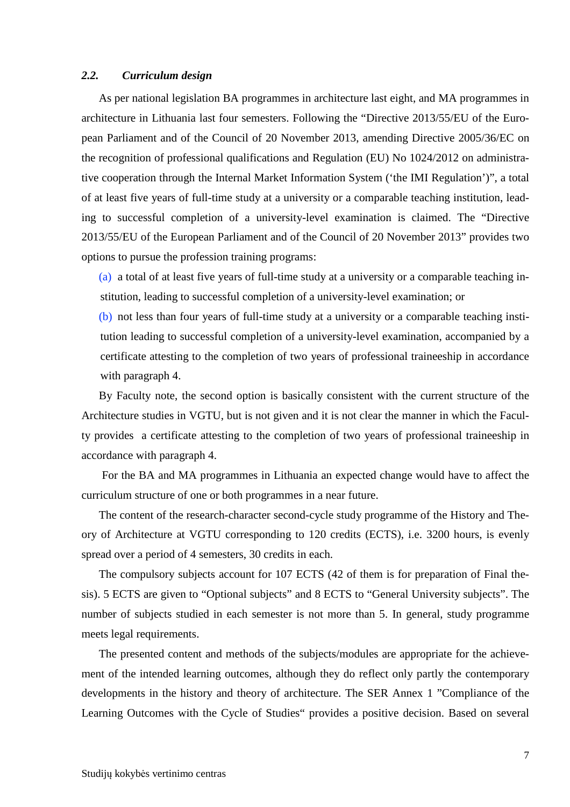#### *2.2. Curriculum design*

As per national legislation BA programmes in architecture last eight, and MA programmes in architecture in Lithuania last four semesters. Following the "Directive 2013/55/EU of the European Parliament and of the Council of 20 November 2013, amending Directive 2005/36/EC on the recognition of professional qualifications and Regulation (EU) No 1024/2012 on administrative cooperation through the Internal Market Information System ('the IMI Regulation')", a total of at least five years of full-time study at a university or a comparable teaching institution, leading to successful completion of a university-level examination is claimed. The "Directive 2013/55/EU of the European Parliament and of the Council of 20 November 2013" provides two options to pursue the profession training programs:

(a) a total of at least five years of full-time study at a university or a comparable teaching institution, leading to successful completion of a university-level examination; or

(b) not less than four years of full-time study at a university or a comparable teaching institution leading to successful completion of a university-level examination, accompanied by a certificate attesting to the completion of two years of professional traineeship in accordance with paragraph 4.

By Faculty note, the second option is basically consistent with the current structure of the Architecture studies in VGTU, but is not given and it is not clear the manner in which the Faculty provides a certificate attesting to the completion of two years of professional traineeship in accordance with paragraph 4.

For the BA and MA programmes in Lithuania an expected change would have to affect the curriculum structure of one or both programmes in a near future.

The content of the research-character second-cycle study programme of the History and Theory of Architecture at VGTU corresponding to 120 credits (ECTS), i.e. 3200 hours, is evenly spread over a period of 4 semesters, 30 credits in each.

The compulsory subjects account for 107 ECTS (42 of them is for preparation of Final thesis). 5 ECTS are given to "Optional subjects" and 8 ECTS to "General University subjects". The number of subjects studied in each semester is not more than 5. In general, study programme meets legal requirements.

The presented content and methods of the subjects/modules are appropriate for the achievement of the intended learning outcomes, although they do reflect only partly the contemporary developments in the history and theory of architecture. The SER Annex 1 "Compliance of the Learning Outcomes with the Cycle of Studies" provides a positive decision. Based on several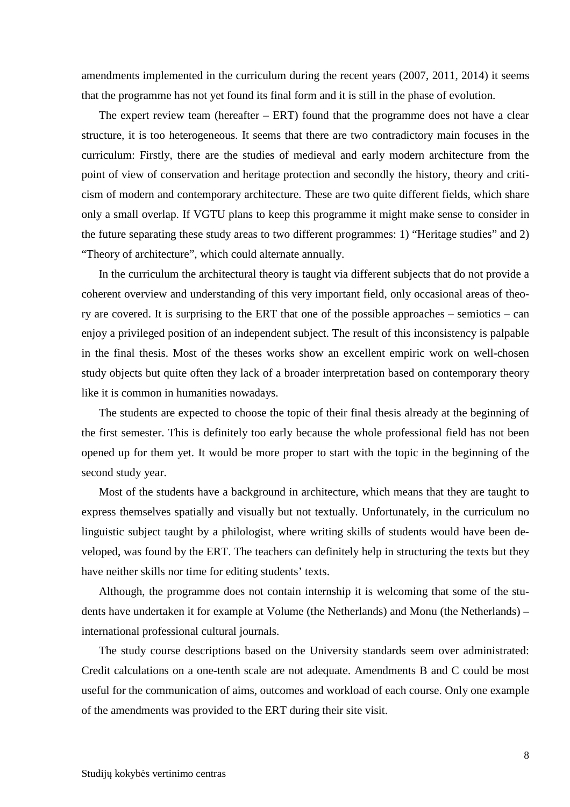amendments implemented in the curriculum during the recent years (2007, 2011, 2014) it seems that the programme has not yet found its final form and it is still in the phase of evolution.

The expert review team (hereafter  $-$  ERT) found that the programme does not have a clear structure, it is too heterogeneous. It seems that there are two contradictory main focuses in the curriculum: Firstly, there are the studies of medieval and early modern architecture from the point of view of conservation and heritage protection and secondly the history, theory and criticism of modern and contemporary architecture. These are two quite different fields, which share only a small overlap. If VGTU plans to keep this programme it might make sense to consider in the future separating these study areas to two different programmes: 1) "Heritage studies" and 2) "Theory of architecture", which could alternate annually.

In the curriculum the architectural theory is taught via different subjects that do not provide a coherent overview and understanding of this very important field, only occasional areas of theory are covered. It is surprising to the ERT that one of the possible approaches – semiotics – can enjoy a privileged position of an independent subject. The result of this inconsistency is palpable in the final thesis. Most of the theses works show an excellent empiric work on well-chosen study objects but quite often they lack of a broader interpretation based on contemporary theory like it is common in humanities nowadays.

The students are expected to choose the topic of their final thesis already at the beginning of the first semester. This is definitely too early because the whole professional field has not been opened up for them yet. It would be more proper to start with the topic in the beginning of the second study year.

Most of the students have a background in architecture, which means that they are taught to express themselves spatially and visually but not textually. Unfortunately, in the curriculum no linguistic subject taught by a philologist, where writing skills of students would have been developed, was found by the ERT. The teachers can definitely help in structuring the texts but they have neither skills nor time for editing students' texts.

Although, the programme does not contain internship it is welcoming that some of the students have undertaken it for example at Volume (the Netherlands) and Monu (the Netherlands) – international professional cultural journals.

The study course descriptions based on the University standards seem over administrated: Credit calculations on a one-tenth scale are not adequate. Amendments B and C could be most useful for the communication of aims, outcomes and workload of each course. Only one example of the amendments was provided to the ERT during their site visit.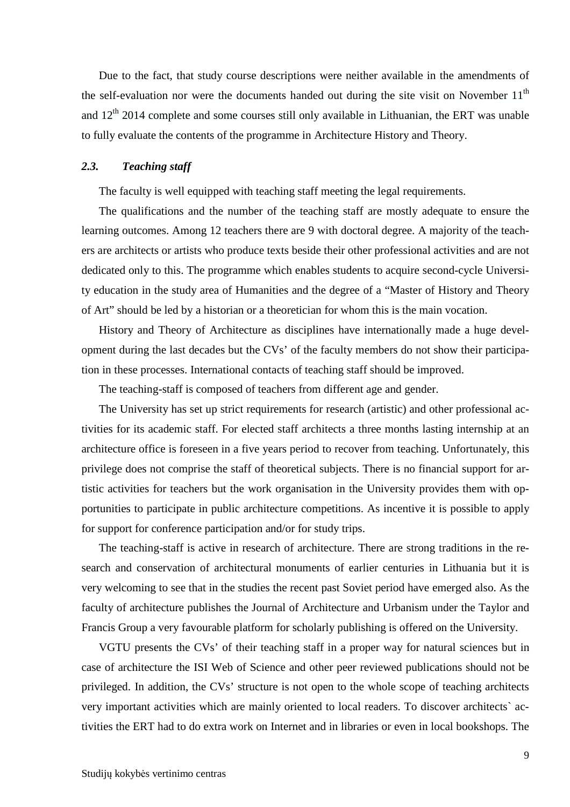Due to the fact, that study course descriptions were neither available in the amendments of the self-evaluation nor were the documents handed out during the site visit on November  $11<sup>th</sup>$ and  $12<sup>th</sup>$  2014 complete and some courses still only available in Lithuanian, the ERT was unable to fully evaluate the contents of the programme in Architecture History and Theory.

#### *2.3. Teaching staff*

The faculty is well equipped with teaching staff meeting the legal requirements.

The qualifications and the number of the teaching staff are mostly adequate to ensure the learning outcomes. Among 12 teachers there are 9 with doctoral degree. A majority of the teachers are architects or artists who produce texts beside their other professional activities and are not dedicated only to this. The programme which enables students to acquire second-cycle University education in the study area of Humanities and the degree of a "Master of History and Theory of Art" should be led by a historian or a theoretician for whom this is the main vocation.

History and Theory of Architecture as disciplines have internationally made a huge development during the last decades but the CVs' of the faculty members do not show their participation in these processes. International contacts of teaching staff should be improved.

The teaching-staff is composed of teachers from different age and gender.

The University has set up strict requirements for research (artistic) and other professional activities for its academic staff. For elected staff architects a three months lasting internship at an architecture office is foreseen in a five years period to recover from teaching. Unfortunately, this privilege does not comprise the staff of theoretical subjects. There is no financial support for artistic activities for teachers but the work organisation in the University provides them with opportunities to participate in public architecture competitions. As incentive it is possible to apply for support for conference participation and/or for study trips.

The teaching-staff is active in research of architecture. There are strong traditions in the research and conservation of architectural monuments of earlier centuries in Lithuania but it is very welcoming to see that in the studies the recent past Soviet period have emerged also. As the faculty of architecture publishes the Journal of Architecture and Urbanism under the Taylor and Francis Group a very favourable platform for scholarly publishing is offered on the University.

VGTU presents the CVs' of their teaching staff in a proper way for natural sciences but in case of architecture the ISI Web of Science and other peer reviewed publications should not be privileged. In addition, the CVs' structure is not open to the whole scope of teaching architects very important activities which are mainly oriented to local readers. To discover architects` activities the ERT had to do extra work on Internet and in libraries or even in local bookshops. The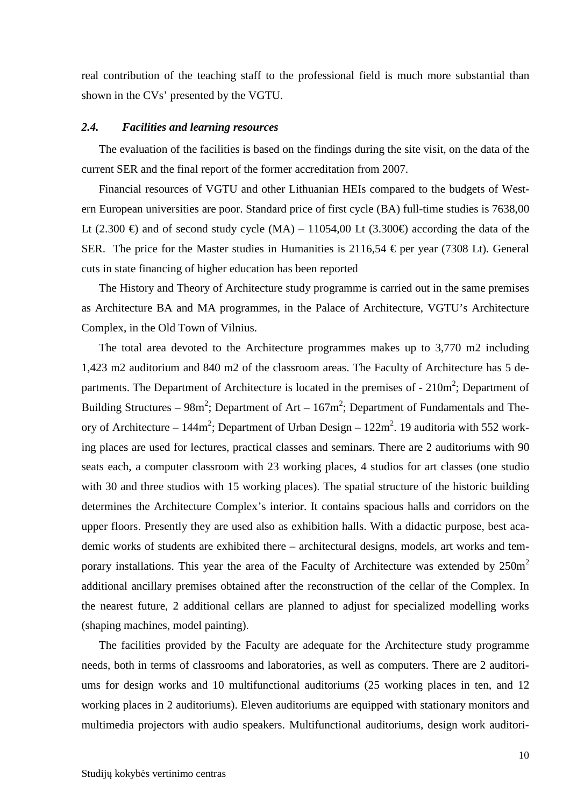real contribution of the teaching staff to the professional field is much more substantial than shown in the CVs' presented by the VGTU.

#### *2.4. Facilities and learning resources*

The evaluation of the facilities is based on the findings during the site visit, on the data of the current SER and the final report of the former accreditation from 2007.

Financial resources of VGTU and other Lithuanian HEIs compared to the budgets of Western European universities are poor. Standard price of first cycle (BA) full-time studies is 7638,00 Lt (2.300 €) and of second study cycle (MA) – 11054,00 Lt (3.300 €) according the data of the SER. The price for the Master studies in Humanities is  $2116,54 \text{ } \in$  per year (7308 Lt). General cuts in state financing of higher education has been reported

The History and Theory of Architecture study programme is carried out in the same premises as Architecture BA and MA programmes, in the Palace of Architecture, VGTU's Architecture Complex, in the Old Town of Vilnius.

The total area devoted to the Architecture programmes makes up to 3,770 m2 including 1,423 m2 auditorium and 840 m2 of the classroom areas. The Faculty of Architecture has 5 departments. The Department of Architecture is located in the premises of  $-210m^2$ ; Department of Building Structures –  $98m^2$ ; Department of Art –  $167m^2$ ; Department of Fundamentals and Theory of Architecture –  $144m^2$ ; Department of Urban Design –  $122m^2$ . 19 auditoria with 552 working places are used for lectures, practical classes and seminars. There are 2 auditoriums with 90 seats each, a computer classroom with 23 working places, 4 studios for art classes (one studio with 30 and three studios with 15 working places). The spatial structure of the historic building determines the Architecture Complex's interior. It contains spacious halls and corridors on the upper floors. Presently they are used also as exhibition halls. With a didactic purpose, best academic works of students are exhibited there – architectural designs, models, art works and temporary installations. This year the area of the Faculty of Architecture was extended by  $250m^2$ additional ancillary premises obtained after the reconstruction of the cellar of the Complex. In the nearest future, 2 additional cellars are planned to adjust for specialized modelling works (shaping machines, model painting).

The facilities provided by the Faculty are adequate for the Architecture study programme needs, both in terms of classrooms and laboratories, as well as computers. There are 2 auditoriums for design works and 10 multifunctional auditoriums (25 working places in ten, and 12 working places in 2 auditoriums). Eleven auditoriums are equipped with stationary monitors and multimedia projectors with audio speakers. Multifunctional auditoriums, design work auditori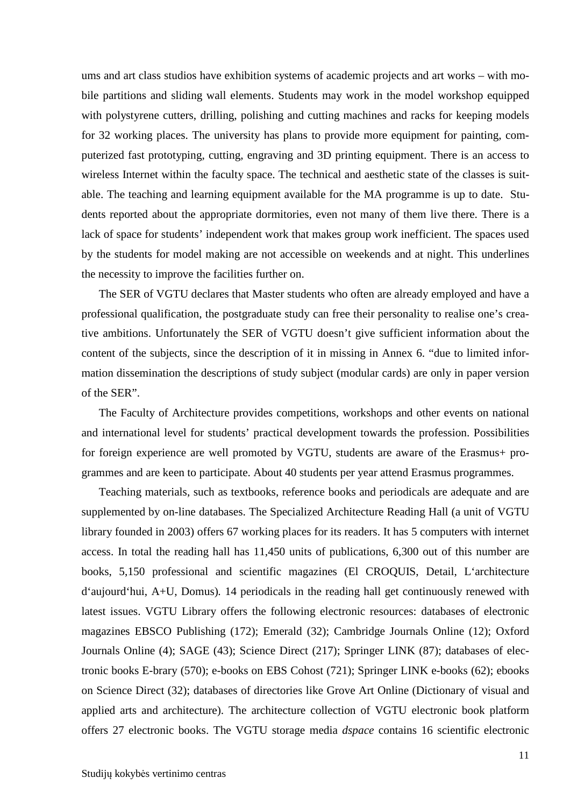ums and art class studios have exhibition systems of academic projects and art works – with mobile partitions and sliding wall elements. Students may work in the model workshop equipped with polystyrene cutters, drilling, polishing and cutting machines and racks for keeping models for 32 working places. The university has plans to provide more equipment for painting, computerized fast prototyping, cutting, engraving and 3D printing equipment. There is an access to wireless Internet within the faculty space. The technical and aesthetic state of the classes is suitable. The teaching and learning equipment available for the MA programme is up to date. Students reported about the appropriate dormitories, even not many of them live there. There is a lack of space for students' independent work that makes group work inefficient. The spaces used by the students for model making are not accessible on weekends and at night. This underlines the necessity to improve the facilities further on.

The SER of VGTU declares that Master students who often are already employed and have a professional qualification, the postgraduate study can free their personality to realise one's creative ambitions. Unfortunately the SER of VGTU doesn't give sufficient information about the content of the subjects, since the description of it in missing in Annex 6. "due to limited information dissemination the descriptions of study subject (modular cards) are only in paper version of the SER".

The Faculty of Architecture provides competitions, workshops and other events on national and international level for students' practical development towards the profession. Possibilities for foreign experience are well promoted by VGTU, students are aware of the Erasmus+ programmes and are keen to participate. About 40 students per year attend Erasmus programmes.

Teaching materials, such as textbooks, reference books and periodicals are adequate and are supplemented by on-line databases. The Specialized Architecture Reading Hall (a unit of VGTU library founded in 2003) offers 67 working places for its readers. It has 5 computers with internet access. In total the reading hall has 11,450 units of publications, 6,300 out of this number are books, 5,150 professional and scientific magazines (El CROQUIS, Detail, L'architecture d'aujourd'hui, A+U, Domus)*.* 14 periodicals in the reading hall get continuously renewed with latest issues. VGTU Library offers the following electronic resources: databases of electronic magazines EBSCO Publishing (172); Emerald (32); Cambridge Journals Online (12); Oxford Journals Online (4); SAGE (43); Science Direct (217); Springer LINK (87); databases of electronic books E-brary (570); e-books on EBS Cohost (721); Springer LINK e-books (62); ebooks on Science Direct (32); databases of directories like Grove Art Online (Dictionary of visual and applied arts and architecture). The architecture collection of VGTU electronic book platform offers 27 electronic books. The VGTU storage media *dspace* contains 16 scientific electronic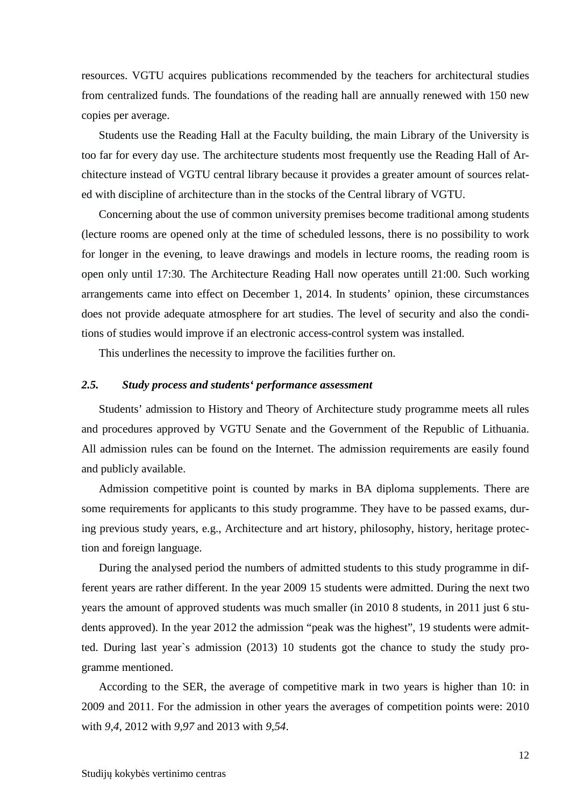resources. VGTU acquires publications recommended by the teachers for architectural studies from centralized funds. The foundations of the reading hall are annually renewed with 150 new copies per average.

Students use the Reading Hall at the Faculty building, the main Library of the University is too far for every day use. The architecture students most frequently use the Reading Hall of Architecture instead of VGTU central library because it provides a greater amount of sources related with discipline of architecture than in the stocks of the Central library of VGTU.

Concerning about the use of common university premises become traditional among students (lecture rooms are opened only at the time of scheduled lessons, there is no possibility to work for longer in the evening, to leave drawings and models in lecture rooms, the reading room is open only until 17:30. The Architecture Reading Hall now operates untill 21:00. Such working arrangements came into effect on December 1, 2014. In students' opinion, these circumstances does not provide adequate atmosphere for art studies. The level of security and also the conditions of studies would improve if an electronic access-control system was installed.

This underlines the necessity to improve the facilities further on.

#### *2.5. Study process and students' performance assessment*

Students' admission to History and Theory of Architecture study programme meets all rules and procedures approved by VGTU Senate and the Government of the Republic of Lithuania. All admission rules can be found on the Internet. The admission requirements are easily found and publicly available.

Admission competitive point is counted by marks in BA diploma supplements. There are some requirements for applicants to this study programme. They have to be passed exams, during previous study years, e.g., Architecture and art history, philosophy, history, heritage protection and foreign language.

During the analysed period the numbers of admitted students to this study programme in different years are rather different. In the year 2009 15 students were admitted. During the next two years the amount of approved students was much smaller (in 2010 8 students, in 2011 just 6 students approved). In the year 2012 the admission "peak was the highest", 19 students were admitted. During last year`s admission (2013) 10 students got the chance to study the study programme mentioned.

According to the SER, the average of competitive mark in two years is higher than 10: in 2009 and 2011. For the admission in other years the averages of competition points were: 2010 with *9,4*, 2012 with *9,97* and 2013 with *9,54*.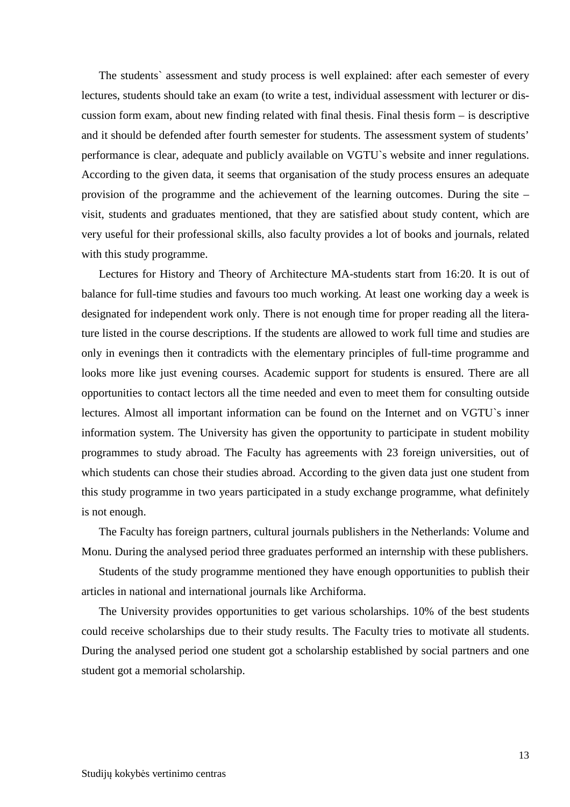The students` assessment and study process is well explained: after each semester of every lectures, students should take an exam (to write a test, individual assessment with lecturer or discussion form exam, about new finding related with final thesis. Final thesis form – is descriptive and it should be defended after fourth semester for students. The assessment system of students' performance is clear, adequate and publicly available on VGTU`s website and inner regulations. According to the given data, it seems that organisation of the study process ensures an adequate provision of the programme and the achievement of the learning outcomes. During the site – visit, students and graduates mentioned, that they are satisfied about study content, which are very useful for their professional skills, also faculty provides a lot of books and journals, related with this study programme.

Lectures for History and Theory of Architecture MA-students start from 16:20. It is out of balance for full-time studies and favours too much working. At least one working day a week is designated for independent work only. There is not enough time for proper reading all the literature listed in the course descriptions. If the students are allowed to work full time and studies are only in evenings then it contradicts with the elementary principles of full-time programme and looks more like just evening courses. Academic support for students is ensured. There are all opportunities to contact lectors all the time needed and even to meet them for consulting outside lectures. Almost all important information can be found on the Internet and on VGTU`s inner information system. The University has given the opportunity to participate in student mobility programmes to study abroad. The Faculty has agreements with 23 foreign universities, out of which students can chose their studies abroad. According to the given data just one student from this study programme in two years participated in a study exchange programme, what definitely is not enough.

The Faculty has foreign partners, cultural journals publishers in the Netherlands: Volume and Monu. During the analysed period three graduates performed an internship with these publishers.

Students of the study programme mentioned they have enough opportunities to publish their articles in national and international journals like Archiforma.

The University provides opportunities to get various scholarships. 10% of the best students could receive scholarships due to their study results. The Faculty tries to motivate all students. During the analysed period one student got a scholarship established by social partners and one student got a memorial scholarship.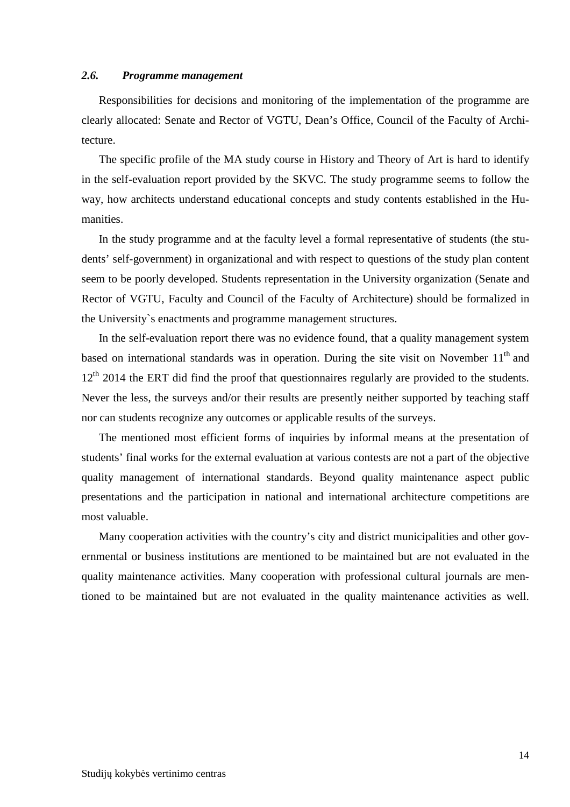#### *2.6. Programme management*

Responsibilities for decisions and monitoring of the implementation of the programme are clearly allocated: Senate and Rector of VGTU, Dean's Office, Council of the Faculty of Architecture.

The specific profile of the MA study course in History and Theory of Art is hard to identify in the self-evaluation report provided by the SKVC. The study programme seems to follow the way, how architects understand educational concepts and study contents established in the Humanities.

In the study programme and at the faculty level a formal representative of students (the students' self-government) in organizational and with respect to questions of the study plan content seem to be poorly developed. Students representation in the University organization (Senate and Rector of VGTU, Faculty and Council of the Faculty of Architecture) should be formalized in the University`s enactments and programme management structures.

In the self-evaluation report there was no evidence found, that a quality management system based on international standards was in operation. During the site visit on November  $11<sup>th</sup>$  and 12<sup>th</sup> 2014 the ERT did find the proof that questionnaires regularly are provided to the students. Never the less, the surveys and/or their results are presently neither supported by teaching staff nor can students recognize any outcomes or applicable results of the surveys.

The mentioned most efficient forms of inquiries by informal means at the presentation of students' final works for the external evaluation at various contests are not a part of the objective quality management of international standards. Beyond quality maintenance aspect public presentations and the participation in national and international architecture competitions are most valuable.

Many cooperation activities with the country's city and district municipalities and other governmental or business institutions are mentioned to be maintained but are not evaluated in the quality maintenance activities. Many cooperation with professional cultural journals are mentioned to be maintained but are not evaluated in the quality maintenance activities as well.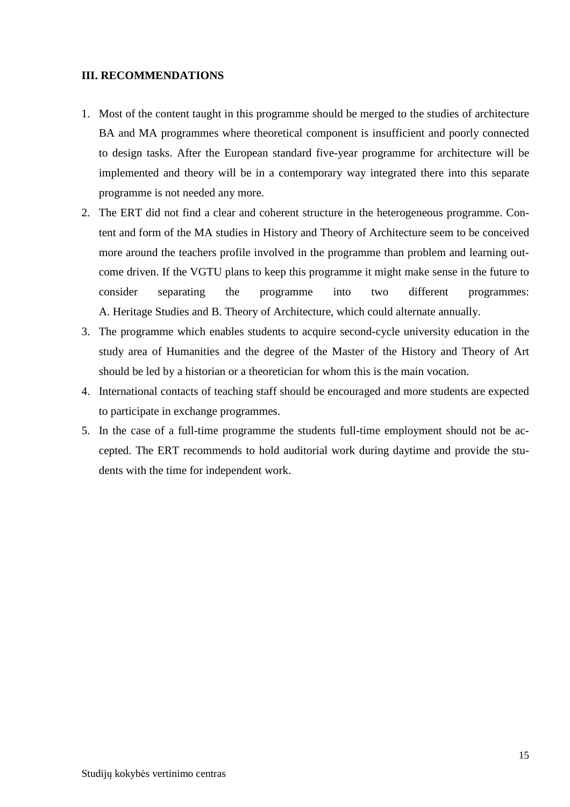#### **III. RECOMMENDATIONS**

- 1. Most of the content taught in this programme should be merged to the studies of architecture BA and MA programmes where theoretical component is insufficient and poorly connected to design tasks. After the European standard five-year programme for architecture will be implemented and theory will be in a contemporary way integrated there into this separate programme is not needed any more.
- 2. The ERT did not find a clear and coherent structure in the heterogeneous programme. Content and form of the MA studies in History and Theory of Architecture seem to be conceived more around the teachers profile involved in the programme than problem and learning outcome driven. If the VGTU plans to keep this programme it might make sense in the future to consider separating the programme into two different programmes: A. Heritage Studies and B. Theory of Architecture, which could alternate annually.
- 3. The programme which enables students to acquire second-cycle university education in the study area of Humanities and the degree of the Master of the History and Theory of Art should be led by a historian or a theoretician for whom this is the main vocation.
- 4. International contacts of teaching staff should be encouraged and more students are expected to participate in exchange programmes.
- 5. In the case of a full-time programme the students full-time employment should not be accepted. The ERT recommends to hold auditorial work during daytime and provide the students with the time for independent work.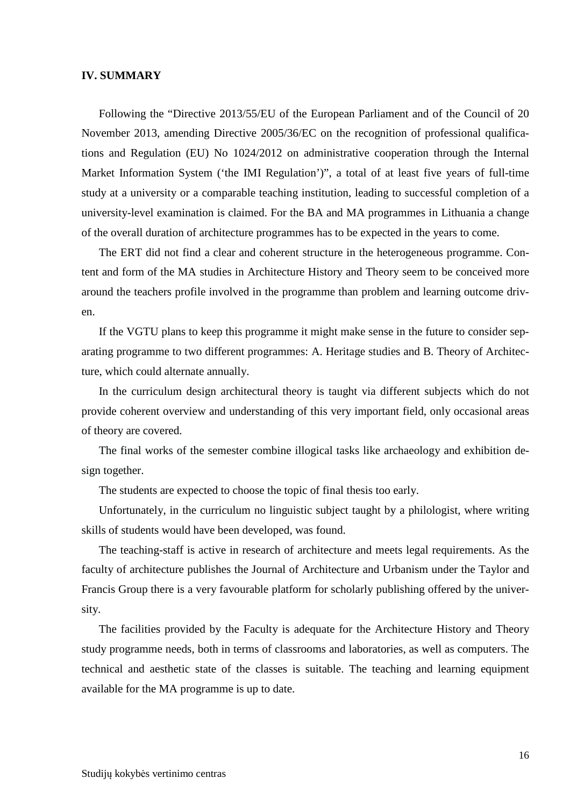#### **IV. SUMMARY**

Following the "Directive 2013/55/EU of the European Parliament and of the Council of 20 November 2013, amending Directive 2005/36/EC on the recognition of professional qualifications and Regulation (EU) No 1024/2012 on administrative cooperation through the Internal Market Information System ('the IMI Regulation')", a total of at least five years of full-time study at a university or a comparable teaching institution, leading to successful completion of a university-level examination is claimed. For the BA and MA programmes in Lithuania a change of the overall duration of architecture programmes has to be expected in the years to come.

The ERT did not find a clear and coherent structure in the heterogeneous programme. Content and form of the MA studies in Architecture History and Theory seem to be conceived more around the teachers profile involved in the programme than problem and learning outcome driven.

If the VGTU plans to keep this programme it might make sense in the future to consider separating programme to two different programmes: A. Heritage studies and B. Theory of Architecture, which could alternate annually.

In the curriculum design architectural theory is taught via different subjects which do not provide coherent overview and understanding of this very important field, only occasional areas of theory are covered.

The final works of the semester combine illogical tasks like archaeology and exhibition design together.

The students are expected to choose the topic of final thesis too early.

Unfortunately, in the curriculum no linguistic subject taught by a philologist, where writing skills of students would have been developed, was found.

The teaching-staff is active in research of architecture and meets legal requirements. As the faculty of architecture publishes the Journal of Architecture and Urbanism under the Taylor and Francis Group there is a very favourable platform for scholarly publishing offered by the university.

The facilities provided by the Faculty is adequate for the Architecture History and Theory study programme needs, both in terms of classrooms and laboratories, as well as computers. The technical and aesthetic state of the classes is suitable. The teaching and learning equipment available for the MA programme is up to date.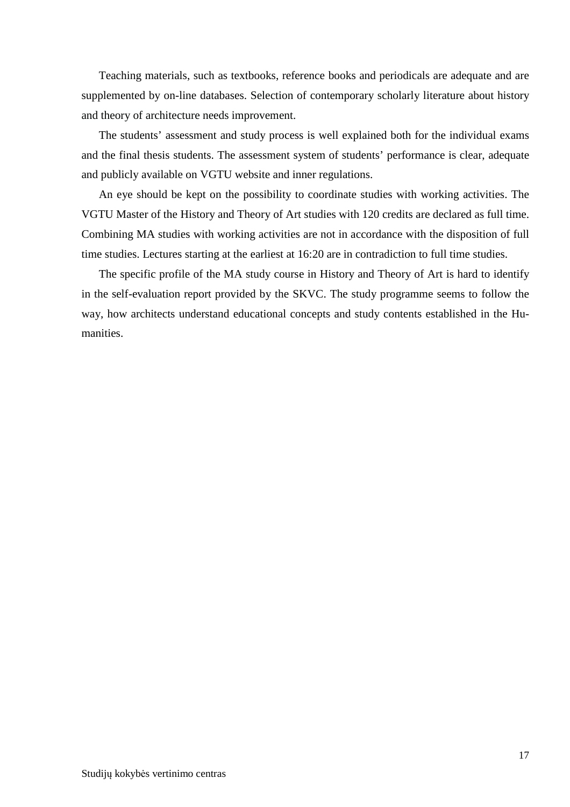Teaching materials, such as textbooks, reference books and periodicals are adequate and are supplemented by on-line databases. Selection of contemporary scholarly literature about history and theory of architecture needs improvement.

The students' assessment and study process is well explained both for the individual exams and the final thesis students. The assessment system of students' performance is clear, adequate and publicly available on VGTU website and inner regulations.

An eye should be kept on the possibility to coordinate studies with working activities. The VGTU Master of the History and Theory of Art studies with 120 credits are declared as full time. Combining MA studies with working activities are not in accordance with the disposition of full time studies. Lectures starting at the earliest at 16:20 are in contradiction to full time studies.

The specific profile of the MA study course in History and Theory of Art is hard to identify in the self-evaluation report provided by the SKVC. The study programme seems to follow the way, how architects understand educational concepts and study contents established in the Humanities.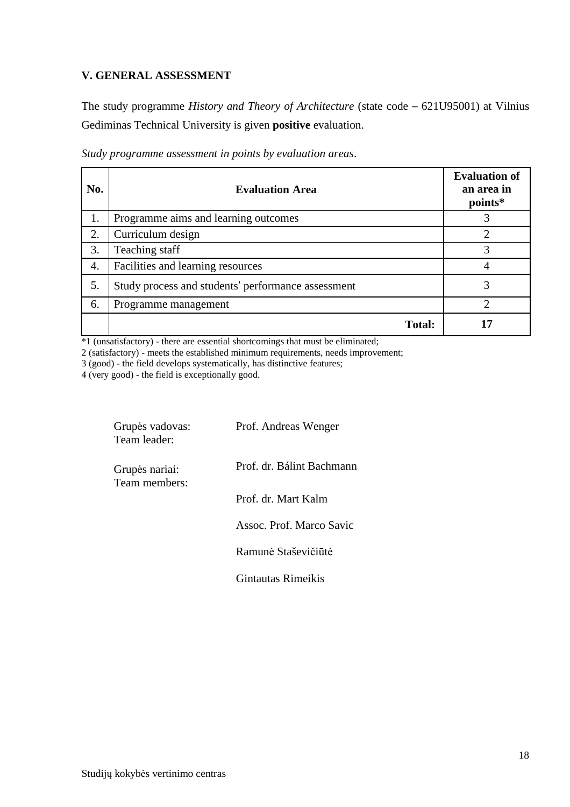### **V. GENERAL ASSESSMENT**

The study programme *History and Theory of Architecture* (state code – 621U95001) at Vilnius Gediminas Technical University is given **positive** evaluation.

| No. | <b>Evaluation Area</b>                             | <b>Evaluation of</b><br>an area in<br>points* |
|-----|----------------------------------------------------|-----------------------------------------------|
| 1.  | Programme aims and learning outcomes               | 3                                             |
| 2.  | Curriculum design                                  |                                               |
| 3.  | Teaching staff                                     | 3                                             |
| 4.  | Facilities and learning resources                  |                                               |
| 5.  | Study process and students' performance assessment | 3                                             |
| 6.  | Programme management                               | っ                                             |
|     | <b>Total:</b>                                      | די                                            |

*Study programme assessment in points by evaluation areas*.

\*1 (unsatisfactory) - there are essential shortcomings that must be eliminated;

2 (satisfactory) - meets the established minimum requirements, needs improvement;

3 (good) - the field develops systematically, has distinctive features;

4 (very good) - the field is exceptionally good.

| Grupės vadovas:<br>Team leader: | Prof. Andreas Wenger      |
|---------------------------------|---------------------------|
| Grupės nariai:<br>Team members: | Prof. dr. Bálint Bachmann |
|                                 | Prof. dr. Mart Kalm       |
|                                 | Assoc. Prof. Marco Savic  |
|                                 | Ramunė Staševičiūtė       |
|                                 | Gintautas Rimeikis        |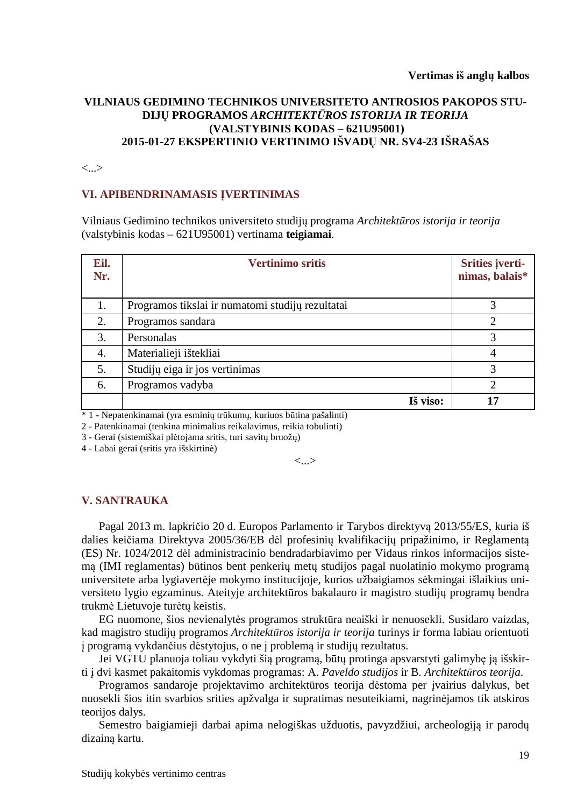#### **VILNIAUS GEDIMINO TECHNIKOS UNIVERSITETO ANTROSIOS PAKOPOS STU-DIJŲ PROGRAMOS** *ARCHITEKTŪROS ISTORIJA IR TEORIJA*  **(VALSTYBINIS KODAS – 621U95001) 2015-01-27 EKSPERTINIO VERTINIMO IŠVADŲ NR. SV4-23 IŠRAŠAS**

<...>

#### **VI. APIBENDRINAMASIS ĮVERTINIMAS**

Vilniaus Gedimino technikos universiteto studijų programa *Architektūros istorija ir teorija* (valstybinis kodas – 621U95001) vertinama **teigiamai**.

| Eil.<br>Nr. | <b>Vertinimo sritis</b>                          | Srities įverti-<br>nimas, balais* |
|-------------|--------------------------------------------------|-----------------------------------|
| 1.          | Programos tikslai ir numatomi studijų rezultatai |                                   |
| 2.          | Programos sandara                                | $\overline{2}$                    |
| 3.          | Personalas                                       |                                   |
| 4.          | Materialieji ištekliai                           | 4                                 |
| 5.          | Studijų eiga ir jos vertinimas                   | 3                                 |
| 6.          | Programos vadyba                                 | 2                                 |
|             | Iš viso:                                         |                                   |

\* 1 - Nepatenkinamai (yra esminių trūkumų, kuriuos būtina pašalinti)

2 - Patenkinamai (tenkina minimalius reikalavimus, reikia tobulinti)

3 - Gerai (sistemiškai plėtojama sritis, turi savitų bruožų)

4 - Labai gerai (sritis yra išskirtinė)

 $\langle \ldots \rangle$ 

#### **V. SANTRAUKA**

Pagal 2013 m. lapkričio 20 d. Europos Parlamento ir Tarybos direktyvą 2013/55/ES, kuria iš dalies keičiama Direktyva 2005/36/EB dėl profesinių kvalifikacijų pripažinimo, ir Reglamentą (ES) Nr. 1024/2012 dėl administracinio bendradarbiavimo per Vidaus rinkos informacijos sistemą (IMI reglamentas) būtinos bent penkerių metų studijos pagal nuolatinio mokymo programą universitete arba lygiavertėje mokymo institucijoje, kurios užbaigiamos sėkmingai išlaikius universiteto lygio egzaminus. Ateityje architektūros bakalauro ir magistro studijų programų bendra trukmė Lietuvoje turėtų keistis.

EG nuomone, šios nevienalytės programos struktūra neaiški ir nenuosekli. Susidaro vaizdas, kad magistro studijų programos *Architektūros istorija ir teorija* turinys ir forma labiau orientuoti į programą vykdančius dėstytojus, o ne į problemą ir studijų rezultatus.

Jei VGTU planuoja toliau vykdyti šią programą, būtų protinga apsvarstyti galimybę ją išskirti į dvi kasmet pakaitomis vykdomas programas: A. *Paveldo studijos* ir B. *Architektūros teorija*.

Programos sandaroje projektavimo architektūros teorija dėstoma per įvairius dalykus, bet nuosekli šios itin svarbios srities apžvalga ir supratimas nesuteikiami, nagrinėjamos tik atskiros teorijos dalys.

Semestro baigiamieji darbai apima nelogiškas užduotis, pavyzdžiui, archeologiją ir parodų dizainą kartu.